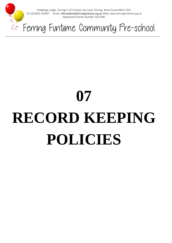

Fledglings Lodge, Ferring C of E School, Sea Lane, Ferring, West Sussex BN12 5DU Tel: (01903) 245907 Email: officeadmin@ferringfuntime.org.uk Web: www.ferringfuntime.org.uk *Registered Charity Number 1023780*

Ferring Funtime Community Pre-school

# **07 RECORD KEEPING POLICIES**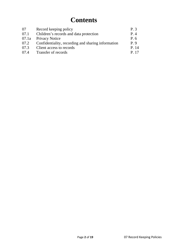# **Contents**

| 07    | Record keeping policy                              | P <sub>3</sub> |
|-------|----------------------------------------------------|----------------|
| 07.1  | Children's records and data protection             | P.4            |
| 07.1a | <b>Privacy Notice</b>                              | P. 6           |
| 07.2  | Confidentiality, recording and sharing information | $P_{0}$        |
| 07.3  | Client access to records                           | P. 14          |
| 07.4  | Transfer of records                                | P. 17          |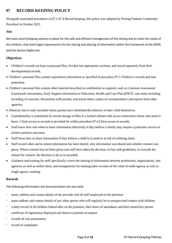# **07 RECORD KEEPING POLICY**

Alongside associated procedures in 07.1-07.4 Record keeping, this policy was adopted by Ferring Funtime Community Preschool in October 2021.

#### **Aim**

We have record keeping systems in place for the safe and efficient management of the setting and to meet the needs of the children; that meet legal requirements for the storing and sharing of information within the framework of the GDPR and the Human Rights Act.

## **Objectives**

- Children's records are kept in personal files, divided into appropriate sections, and stored separately from their developmental records.
- Children's personal files contain registration information as specified in procedure 07.1 Children's records and data protection.
- Children's personal files contain other material described as confidential as required, such as Common Assessment Framework assessments, Early Support information or Education, Health and Care Plan (EHCP, case notes including recording of concerns, discussions with parents, and action taken, copies of correspondence and reports from other agencies.
- Ethnicity data is only recorded where parents have identified the ethnicity of their child themselves.
- Confidentiality is maintained by secure storage of files in a locked cabinet with access restricted to those who need to know. Client access to records is provided for within procedure 07.4 Client access to records.
- Staff know how and when to share information effectively if they believe a family may require a particular service to achieve positive outcomes
- Staff know how to share information if they believe a child is in need or at risk of suffering harm.
- Staff record when and to whom information has been shared, why information was shared and whether consent was given. Where consent has not been given and staff have taken the decision, in line with guidelines, to override the refusal for consent, the decision to do so is recorded.
- Guidance and training for staff specifically covers the sharing of information between professions, organisations, and agencies as well as within them, and arrangements for training takes account of the value of multi-agency as well as single agency working.

### **Records**

The following information and documentation are also held:

- name, address and contact details of the provider and all staff employed on the premises
- name address and contact details of any other person who will regularly be in unsupervised contact with children
- a daily record of all children looked after on the premises, their hours of attendance and their named key person
- certificate of registration displayed and shown to parents on request
- records of risk assessments
- record of complaints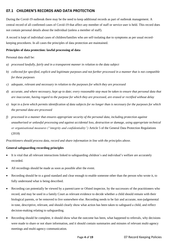# **07.1 CHILDREN'S RECORDS AND DATA PROTECTION**

During the Covid-19 outbreak there may be the need to keep additional records as part of outbreak management. A central record of all confirmed cases of Covid-19 that affect any member of staff or service user is held. This record does not contain personal details about the individual (unless a member of staff).

A record is kept of individual cases of children/families who are self-isolating due to symptoms as per usual recordkeeping procedures. In all cases the principles of data protection are maintained.

#### **Principles of data protection: lawful processing of data**

Personal data shall be:

- *a) processed lawfully, fairly and in a transparent manner in relation to the data subject*
- *b) collected for specified, explicit and legitimate purposes and not further processed in a manner that is not compatible for these purposes*
- *c) adequate, relevant and necessary in relation to the purposes for which they are processed*
- *d) accurate, and where necessary, kept up to date; every reasonable step must be taken to ensure that personal data that are inaccurate, having regard to the purpose for which they are processed, are erased or rectified without delay*
- *e) kept in a form which permits identification of data subjects for no longer than is necessary for the purposes for which the personal data are processed*
- *f) processed in a manner that ensures appropriate security of the personal data, including protection against unauthorised or unlawful processing and against accidental loss, destruction or damage, using appropriate technical or organisational measures ("integrity and confidentiality")* Article 5 of the General Data Protection Regulations (2018)

*Practitioners should process data, record and share information in line with the principles above.*

#### **General safeguarding recording principles**

- It is vital that all relevant interactions linked to safeguarding children's and individual's welfare are accurately recorded.
- All recordings should be made as soon as possible after the event.
- Recording should be to a good standard and clear enough to enable someone other than the person who wrote it, to fully understand what is being described.
- Recording can potentially be viewed by a parent/carer or Ofsted inspector, by the successors of the practitioners who record, and may be used in a family Court as relevant evidence to decide whether a child should remain with their biological parents, or be removed to live somewhere else. Recording needs to be fair and accurate, non-judgemental in tone, descriptive, relevant, and should clearly show what action has been taken to safeguard a child, and reflect decision-making relating to safeguarding.
- Recording should be complete, it should show what the outcome has been, what happened to referrals, why decisions were made to share or not share information, and it should contain summaries and minutes of relevant multi-agency meetings and multi-agency communication.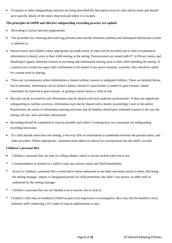If injuries or other safeguarding concerns are being described the description must be clear and accurate and should give specific details of the injury observed and where it is located.

#### **The principles of GDPR and effective safeguarding recording practice are upheld**

- Recording is factual and non-judgemental.
- The procedure for retaining and archiving personal data and the retention schedule and subsequent destruction of data is adhered to.
- Parents/carers and children where appropriate are made aware of what will be recorded and in what circumstances information is shared, prior to their child starting at the setting. Parents/carers are issued with 07.1a Privacy notice and should give signed, informed consent to recording and information sharing prior to their child attending the setting. If a parent/carer would not expect their information to be shared in any given situation, normally, they should be asked for consent prior to sharing.
- There are circumstances where information is shared without consent to safeguard children. These are detailed below, but in summary, information can be shared without consent if a practitioner is unable to gain consent, cannot reasonably be expected to gain consent, or gaining consent places a child at risk.
- Records can be accessed by and information may be shared with local authority professionals. If there are significant safeguarding or welfare concerns, information may also be shared with a family proceedings Court or the police. Practitioners are aware of information sharing processes and all families should give informed consent to the way the setting will use, store and share information.
- Recording should be completed as soon as possible and within 5 working days as a maximum for safeguarding recording timescales.
- If a child attends more than one setting, a two-way flow of information is established between the parents/carers, and other providers. Where appropriate, comments from others (as above) are incorporated into the child's records.

#### **Children's personal files**

- Children's personal files are kept in a filing cabinet, which is always locked when not in use.
- Correspondence in relation to a child is read, any actions noted, and filed immediately
- Access to children's personal files is restricted to those authorised to see them and make entries in them, this being the setting manager, deputy or designated person for child protection, the child's key person, or other staff as authorised by the setting manager.
- Children's personal files are not handed over to anyone else to look at.
- Children's files may be handed to Ofsted as part of an inspection or investigation; they may also be handed to local authority staff conducting a S11 audit as long as authorisation is seen.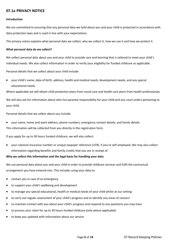# **07.1a PRIVACY NOTICE**

#### **Introduction**

We are committed to ensuring that any personal data we hold about you and your child is protected in accordance with data protection laws and is used in line with your expectations.

This privacy notice explains what personal data we collect, why we collect it, how we use it and how we protect it.

#### **What personal data do we collect?**

We collect personal data about you and your child to provide care and learning that is tailored to meet your child's individual needs. We also collect information in order to verify your eligibility for funded childcare as applicable.

Personal details that we collect about your child include:

• your child's name, date of birth, address, health and medical needs, development needs, and any special educational needs.

Where applicable we will obtain child protection plans from social care and health care plans from health professionals.

We will also ask for information about who has parental responsibility for your child and any court orders pertaining to your child.

Personal details that we collect about you include:

• your name, home and work address, phone numbers, emergency contact details, and family details. This information will be collected from you directly in the registration form.

If you apply for up to 30 hours funded childcare, we will also collect:

• your national insurance number or unique taxpayer reference (UTR), if you're self-employed. We may also collect information regarding benefits and family credits that you are in receipt of.

#### **Why we collect this information and the legal basis for handling your data**

We use personal data about you and your child in order to provide childcare services and fulfil the contractual arrangement you have entered into. This includes using your data to:

- contact you in case of an emergency
- to support your child's wellbeing and development
- to manage any special educational, health or medical needs of your child whilst at our setting
- to carry out regular assessment of your child's progress and to identify any areas of concern
- to maintain contact with you about your child's progress and respond to any questions you may have
- to process your claim for up to 30 hours funded childcare (only where applicable)
- to keep you updated with information about our service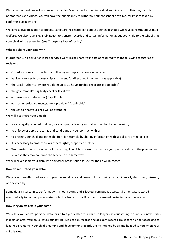With your consent, we will also record your child's activities for their individual learning record. This may include photographs and videos. You will have the opportunity to withdraw your consent at any time, for images taken by confirming so in writing.

We have a legal obligation to process safeguarding related data about your child should we have concerns about their welfare. We also have a legal obligation to transfer records and certain information about your child to the school that your child will be attending (see *Transfer of Records* policy).

#### **Who we share your data with**

In order for us to deliver childcare services we will also share your data as required with the following categories of recipients:

- Ofsted during an inspection or following a complaint about our service
- banking services to process chip and pin and/or direct debit payments (as applicable)
- the Local Authority (where you claim up to 30 hours funded childcare as applicable)
- the government's eligibility checker (as above)
- our insurance underwriter (if applicable)
- our setting software management provider (if applicable)
- the school that your child will be attending

We will also share your data if:

- we are legally required to do so, for example, by law, by a court or the Charity Commission;
- to enforce or apply the terms and conditions of your contract with us;
- to protect your child and other children; for example by sharing information with social care or the police;
- it is necessary to protect our/or others rights, property or safety
- We transfer the management of the setting, in which case we may disclose your personal data to the prospective buyer so they may continue the service in the same way.

We will never share your data with any other organisation to use for their own purposes

#### **How do we protect your data?**

We protect unauthorised access to your personal data and prevent it from being lost, accidentally destroyed, misused, or disclosed by:

Some data is stored in paper format within our setting and is locked from public access. All other data is stored electronically to our computer system which is backed up online to our password protected onedrive account.

#### **How long do we retain your data?**

We retain your child's personal data for up to 3 years after your child no longer uses our setting, or until our next Ofsted inspection after your child leaves our setting. Medication records and accident records are kept for longer according to legal requirements. Your child's learning and development records are maintained by us and handed to you when your child leaves.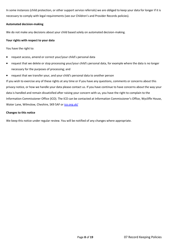In some instances (child protection, or other support service referrals) we are obliged to keep your data for longer if it is necessary to comply with legal requirements (see our Children's and Provider Records policies).

#### **Automated decision-making**

We do not make any decisions about your child based solely on automated decision-making.

#### **Your rights with respect to your data**

You have the right to:

- request access, amend or correct your/your child's personal data
- request that we delete or stop processing your/your child's personal data, for example where the data is no longer necessary for the purposes of processing; and
- request that we transfer your, and your child's personal data to another person

If you wish to exercise any of these rights at any time or if you have any questions, comments or concerns about this privacy notice, or how we handle your data please contact us. If you have continue to have concerns about the way your data is handled and remain dissatisfied after raising your concern with us, you have the right to complain to the Information Commissioner Office (ICO). The ICO can be contacted at Information Commissioner's Office, Wycliffe House, Water Lane, Wilmslow, Cheshire, SK9 5AF or [ico.org.uk/](https://ico.org.uk/)

#### **Changes to this notice**

We keep this notice under regular review. You will be notified of any changes where appropriate.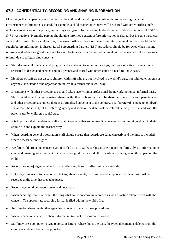# **07.2 CONFIDENTIALITY, RECORDING AND SHARING INFORMATION**

Most things that happen between the family, the child and the setting are confidential to the setting. In certain circumstances information is shared, for example, a child protection concern will be shared with other professionals including social care or the police, and settings will give information to children's social workers who undertake S17 or S47 investigations. Normally parents should give informed consent before information is shared, but in some instances, such as if this may place a child at risk, or a serious offence may have been committed, parental consent should not be sought before information is shared. Local Safeguarding Partners (LSP) procedures should be followed when making referrals, and advice sought if there is a lack of clarity about whether or not parental consent is needed before making a referral due to safeguarding concerns.

- Staff discuss children's general progress and well-being together in meetings, but more sensitive information is restricted to designated persons and key persons and shared with other staff on a need-to-know basis.
- Members of staff do not discuss children with staff who are not involved in the child's care, nor with other parents or anyone else outside of the organisation, unless in a formal and lawful way.
- Discussions with other professionals should take place within a professional framework, not on an informal basis. Staff should expect that information shared with other professionals will be shared in some form with parent/carers and other professionals, unless there is a formalised agreement to the contrary, i.e. if a referral is made to children's social care, the identity of the referring agency and some of the details of the referral is likely to be shared with the parent/carer by children's social care.
- It is important that members of staff explain to parents that sometimes it is necessary to write things down in their child's file and explain the reasons why.
- When recording general information, staff should ensure that records are dated correctly and the time is included where necessary, and signed.
- Welfare/child protection concerns are recorded on 6.1b Safeguarding incident reporting form July 21. Information is clear and unambiguous (fact, not opinion), although it may include the practitioner's thoughts on the impact on the child.
- Records are non-judgemental and do not reflect any biased or discriminatory attitude.
- Not everything needs to be recorded, but significant events, discussions and telephone conversations must be recorded at the time that they take place.
- Recording should be proportionate and necessary.
- When deciding what is relevant, the things that cause concern are recorded as well as action taken to deal with the concern. The appropriate recording format is filed within the child's file.
- Information shared with other agencies is done in line with these procedures.
- Where a decision is made to share information (or not), reasons are recorded.
- Staff may use a computer to type reports, or letters. Where this is the case, the typed document is deleted from the computer and only the hard copy is kept.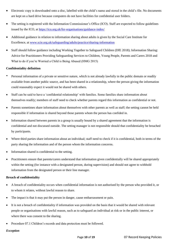- Electronic copy is downloaded onto a disc, labelled with the child's name and stored in the child's file. No documents are kept on a hard drive because computers do not have facilities for confidential user folders.
- The setting is registered with the Information Commissioner's Office (ICO). Staff are expected to follow guidelines issued by the ICO, at <https://ico.org.uk/for-organisations/guidance-index/>
- Additional guidance in relation to information sharing about adults is given by the Social Care Institute for Excellence, at [www.scie.org.uk/safeguarding/adults/practice/sharing-information](http://www.scie.org.uk/safeguarding/adults/practice/sharing-information)
- Staff should follow guidance including Working Together to Safeguard Children (DfE 2018); Information Sharing: Advice for Practitioners Providing Safeguarding Services to Children, Young People, Parents and Carers 2018 and What to do if you're Worried a Child is Being Abused (HMG 2015)

#### **Confidentiality definition**

- Personal information of a private or sensitive nature, which is not already lawfully in the public domain or readily available from another public source, and has been shared in a relationship, where the person giving the information could reasonably expect it would not be shared with others.
- Staff can be said to have a 'confidential relationship' with families. Some families share information about themselves readily; members of staff need to check whether parents regard this information as confidential or not.
- Parents sometimes share information about themselves with other parents as well as staff; the setting cannot be held responsible if information is shared beyond those parents whom the person has confided in.
- Information shared between parents in a group is usually bound by a shared agreement that the information is confidential and not discussed outside. The setting manager is not responsible should that confidentiality be breached by participants.
- Where third parties share information about an individual; staff need to check if it is confidential, both in terms of the party sharing the information and of the person whom the information concerns.
- Information shared is confidential to the setting.
- Practitioners ensure that parents/carers understand that information given confidentially will be shared appropriately within the setting (for instance with a designated person, during supervision) and should not agree to withhold information from the designated person or their line manager.

#### **Breach of confidentiality**

- A breach of confidentiality occurs when confidential information is not authorised by the person who provided it, or to whom it relates, without lawful reason to share.
- The impact is that it may put the person in danger, cause embarrassment or pain.
- It is not a breach of confidentiality if information was provided on the basis that it would be shared with relevant people or organisations with lawful reason, such as to safeguard an individual at risk or in the public interest, or where there was consent to the sharing.
- Procedure 07.1 Children's records and data protection must be followed.

#### *Exception*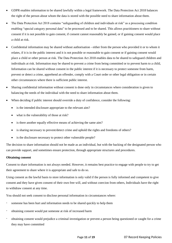- GDPR enables information to be shared lawfully within a legal framework. The Data Protection Act 2018 balances the right of the person about whom the data is stored with the possible need to share information about them.
- The Data Protection Act 2018 contains "safeguarding of children and individuals at risk" as a processing condition enabling "special category personal data" to be processed and to be shared. This allows practitioners to share without consent if it is not possible to gain consent, if consent cannot reasonably be gained, or if gaining consent would place a child at risk.
- Confidential information may be shared without authorisation either from the person who provided it or to whom it relates, if it is in the public interest and it is not possible or reasonable to gain consent or if gaining consent would place a child or other person at risk. The Data Protection Act 2018 enables data to be shared to safeguard children and individuals at risk. Information may be shared to prevent a crime from being committed or to prevent harm to a child, Information can be shared without consent in the public interest if it is necessary to protect someone from harm, prevent or detect a crime, apprehend an offender, comply with a Court order or other legal obligation or in certain other circumstances where there is sufficient public interest.
- Sharing confidential information without consent is done only in circumstances where consideration is given to balancing the needs of the individual with the need to share information about them.
- When deciding if public interest should override a duty of confidence, consider the following:
	- is the intended disclosure appropriate to the relevant aim?
	- what is the vulnerability of those at risk?
	- is there another equally effective means of achieving the same aim?
	- is sharing necessary to prevent/detect crime and uphold the rights and freedoms of others?
	- is the disclosure necessary to protect other vulnerable people?

The decision to share information should not be made as an individual, but with the backing of the designated person who can provide support, and sometimes ensure protection, through appropriate structures and procedures.

#### **Obtaining consent**

Consent to share information is not always needed. However, it remains best practice to engage with people to try to get their agreement to share where it is appropriate and safe to do so.

Using consent as the lawful basis to store information is only valid if the person is fully informed and competent to give consent and they have given consent of their own free will, and without coercion from others, Individuals have the right to withdraw consent at any time.

You should not seek consent to disclose personal information in circumstances where:

- someone has been hurt and information needs to be shared quickly to help them
- obtaining consent would put someone at risk of increased harm
- obtaining consent would prejudice a criminal investigation or prevent a person being questioned or caught for a crime they may have committed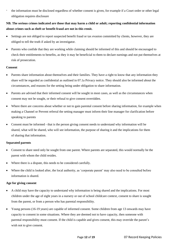- the information must be disclosed regardless of whether consent is given, for example if a Court order or other legal obligation requires disclosure

# **NB. The serious crimes indicated are those that may harm a child or adult; reporting confidential information about crimes such as theft or benefit fraud are not in this remit.**

- Settings are not obliged to report suspected benefit fraud or tax evasion committed by clients, however, they are obliged to tell the truth if asked by an investigator.
- Parents who confide that they are working while claiming should be informed of this and should be encouraged to check their entitlements to benefits, as they it may be beneficial to them to declare earnings and not put themselves at risk of prosecution.

#### **Consent**

- Parents share information about themselves and their families. They have a right to know that any information they share will be regarded as confidential as outlined in 07.1a Privacy notice. They should also be informed about the circumstances, and reasons for the setting being under obligation to share information.
- Parents are advised that their informed consent will be sought in most cases, as well as the circumstances when consent may not be sought, or their refusal to give consent overridden.
- Where there are concerns about whether or not to gain parental consent before sharing information, for example when making a Channel or Prevent referral the setting manager must inform their line manager for clarification before speaking to parents
- Consent must be informed that is the person giving consent needs to understand why information will be shared, what will be shared, who will see information, the purpose of sharing it and the implications for them of sharing that information.

#### **Separated parents**

- Consent to share need only be sought from one parent. Where parents are separated, this would normally be the parent with whom the child resides.
- Where there is a dispute, this needs to be considered carefully.
- Where the child is looked after, the local authority, as 'corporate parent' may also need to be consulted before information is shared.

#### **Age for giving consent**

- A child may have the capacity to understand why information is being shared and the implications. For most children under the age of eight years in a nursery or out of school childcare context, consent to share is sought from the parent, or from a person who has parental responsibility.
- Young persons (16-19 years) are capable of informed consent. Some children from age 13 onwards may have capacity to consent in some situations. Where they are deemed not to have capacity, then someone with parental responsibility must consent. If the child is capable and gives consent, this may override the parent's wish not to give consent.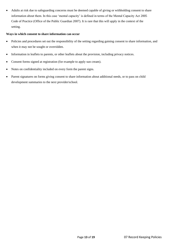• Adults at risk due to safeguarding concerns must be deemed capable of giving or withholding consent to share information about them. In this case 'mental capacity' is defined in terms of the Mental Capacity Act 2005 Code of Practice (Office of the Public Guardian 2007). It is rare that this will apply in the context of the setting.

#### **Ways in which consent to share information can occur**

- Policies and procedures set out the responsibility of the setting regarding gaining consent to share information, and when it may not be sought or overridden.
- Information in leaflets to parents, or other leaflets about the provision, including privacy notices.
- Consent forms signed at registration (for example to apply sun cream).
- Notes on confidentiality included on every form the parent signs.
- Parent signatures on forms giving consent to share information about additional needs, or to pass on child development summaries to the next provider/school.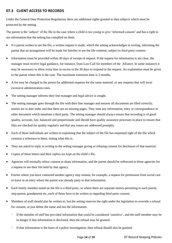# **07.3 CLIENT ACCESS TO RECORDS**

Under the General Data Protection Regulations there are additional rights granted to data subjects which must be protected by the setting.

The parent is the 'subject' of the file in the case where a child is too young to give 'informed consent' and has a right to see information that the setting has compiled on them.

- If a parent wishes to see the file, a written request is made, which the setting acknowledges in writing, informing the parent that an arrangement will be made for him/her to see the file contents, subject to third party consent.
- Information must be provided within 30 days of receipt of request. If the request for information is not clear, the manager must receive legal guidance, for instance, from Law-Call for members of the Alliance. In some instances it may be necessary to allow extra time in excess to the 30 days to respond to the request. An explanation must be given to the parent where this is the case. The maximum extension time is 2 months.
- A fee may be charged to the parent for additional requests for the same material, or any requests that will incur excessive administration costs.
- The setting manager informs their line manager and legal advice is sought.
- The setting manager goes through the file with their line manager and ensures all documents are filed correctly, entries are in date order and that there are no missing pages. They note any information, entry or correspondence or other document which mentions a third party. The setting manager should always ensure that recording is of good quality, accurate, fair, balanced and proportionate and should have quality assurance processes in place to ensure that files are checked for quality regularly and that any issues are addressed promptly.
- Each of those individuals are written to explaining that the subject of the file has requested sight of the file which contains a reference to them, stating what this is.
- They are asked to reply in writing to the setting manager giving or refusing consent for disclosure of that material.
- Copies of these letters and their replies are kept on the child's file.
- Agencies will normally refuse consent to share information, and the parent should be redirected to those agencies for a request to see their file held by that agency.
- Entries where you have contacted another agency may remain, for example, a request for permission from social care to leave in an entry where the parent was already party to that information.
- Each family member noted on the file is a third party, so where there are separate entries pertaining to each parent, step-parent, grandparent etc, each of those have to be written to regarding third party consent.
- Members of staff should also be written to, but the setting reserves the right under the legislation to override a refusal for consent, or just delete the name and not the information.
	- If the member of staff has provided information that could be considered 'sensitive', and the staff member may be in danger if that information is disclosed, then the refusal may be granted.
	- If that information is the basis of a police investigation, then refusal should also be granted.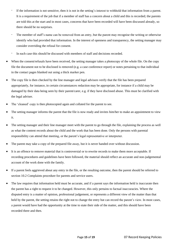- If the information is not sensitive, then it is not in the setting's interest to withhold that information from a parent. It is a requirement of the job that if a member of staff has a concern about a child and this is recorded; the parents are told this at the start and in most cases, concerns that have been recorded will have been discussed already, so there should be no surprises.
- The member of staff's name can be removed from an entry, but the parent may recognise the writing or otherwise identify who had provided that information. In the interest of openness and transparency, the setting manager may consider overriding the refusal for consent.
- In each case this should be discussed with members of staff and decisions recorded.
- When the consent/refusals have been received, the setting manager takes a photocopy of the whole file. On the copy file the document not to be disclosed is removed (e.g. a case conference report) or notes pertaining to that individual in the contact pages blanked out using a thick marker pen.
- The copy file is then checked by the line manager and legal advisors verify that the file has been prepared appropriately, for instance, in certain circumstances redaction may be appropriate, for instance if a child may be damaged by their data being seen by their parent/carer, e.g. if they have disclosed abuse. This must be clarified with the legal adviser.
- The 'cleaned' copy is then photocopied again and collated for the parent to see.
- The setting manager informs the parent that the file is now ready and invites him/her to make an appointment to view it.
- The setting manager and their line manager meet with the parent to go through the file, explaining the process as well as what the content records about the child and the work that has been done. Only the persons with parental responsibility can attend that meeting, or the parent's legal representative or interpreter.
- The parent may take a copy of the prepared file away, but it is never handed over without discussion.
- It is an offence to remove material that is controversial or to rewrite records to make them more acceptable. If recording procedures and guidelines have been followed, the material should reflect an accurate and non-judgemental account of the work done with the family.
- If a parent feels aggrieved about any entry in the file, or the resulting outcome, then the parent should be referred to section 10.2 Complaints procedure for parents and service users.
- The law requires that information held must be accurate, and if a parent says the information held is inaccurate then the parent has a right to request it to be changed. However, this only pertains to factual inaccuracies. Where the disputed entry is a matter of opinion, professional judgement, or represents a different view of the matter than that held by the parent, the setting retains the right not to change the entry but can record the parent's view. In most cases, a parent would have had the opportunity at the time to state their side of the matter, and this should have been recorded there and then.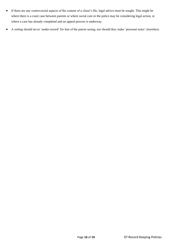- If there are any controversial aspects of the content of a client's file, legal advice must be sought. This might be where there is a court case between parents or where social care or the police may be considering legal action, or where a case has already completed and an appeal process is underway.
- A setting should never 'under-record' for fear of the parent seeing, nor should they make 'personal notes' elsewhere.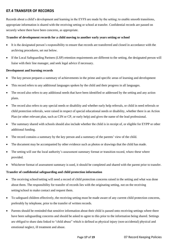# **07.4 TRANSFER OF RECORDS**

Records about a child's development and learning in the EYFS are made by the setting; to enable smooth transitions, appropriate information is shared with the receiving setting or school at transfer. Confidential records are passed on securely where there have been concerns, as appropriate.

#### **Transfer of development records for a child moving to another early years setting or school**

- It is the designated person's responsibility to ensure that records are transferred and closed in accordance with the archiving procedures, set out below.
- If the Local Safeguarding Partners (LSP) retention requirements are different to the setting, the designated person will liaise with their line manager, and seek legal advice if necessary.

#### **Development and learning records**

- The key person prepares a summary of achievements in the prime and specific areas of learning and development
- This record refers to any additional languages spoken by the child and their progress in all languages.
- The record also refers to any additional needs that have been identified or addressed by the setting and any action plans.
- The record also refers to any special needs or disability and whether early help referrals, or child in need referrals or child protection referrals, were raised in respect of special educational needs or disability, whether there is an Action Plan (or other relevant plan, such as CIN or CP, or early help) and gives the name of the lead professional.
- The summary shared with schools should also include whether the child is in receipt of, or eligible for EYPP or other additional funding.
- The record contains a summary by the key person and a summary of the parents' view of the child.
- The document may be accompanied by other evidence such as photos or drawings that the child has made.
- The setting will use the local authority's assessment summary format or transition record, where these where provided.
- Whichever format of assessment summary is used, it should be completed and shared with the parent prior to transfer.

#### **Transfer of confidential safeguarding and child protection information**

- The receiving school/setting will need a record of child protection concerns raised in the setting and what was done about them. The responsibility for transfer of records lies with the originating setting, not on the receiving setting/school to make contact and request them.
- To safeguard children effectively, the receiving setting must be made aware of any current child protection concerns, preferably by telephone, prior to the transfer of written records.
- Parents should be reminded that sensitive information about their child is passed onto receiving settings where there have been safeguarding concerns and should be asked to agree to this prior to the information being shared. Settings are obliged to share data linked to "child abuse" which is defined as physical injury (non-accidental) physical and emotional neglect, ill treatment and abuse.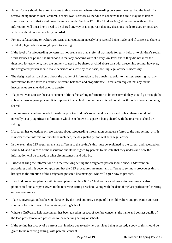- Parents/carers should be asked to agree to this, however, where safeguarding concerns have reached the level of a referral being made to local children's social work services (either due to concerns that a child may be at risk of significant harm or that a child may be in need under Section 17 of the Children Act,) if consent is withheld the information will most likely need to be shared anyway. It is important that any decisions made to share or not share with or without consent are fully recorded.
- For any safeguarding or welfare concerns that resulted in an early help referral being made, and if consent to share is withheld, legal advice is sought prior to sharing.
- If the level of a safeguarding concern has not been such that a referral was made for early help, or to children's social work services or police, the likelihood is that any concerns were at a very low level and if they did not meet the threshold for early help, they are unlikely to need to be shared as child abuse data with a receiving setting, however, the designated person should make decisions on a case by case basis, seeking legal advice is necessary.
- The designated person should check the quality of information to be transferred prior to transfer, ensuring that any information to be shared is accurate, relevant, balanced and proportionate. Parents can request that any factual inaccuracies are amended prior to transfer.
- If a parent wants to see the exact content of the safeguarding information to be transferred, they should go through the subject access request process. It is important that a child or other person is not put at risk through information being shared.
- If no referrals have been made for early help or to children's social work services and police, there should not normally be any significant information which is unknown to a parent being shared with the receiving school or setting.
- If a parent has objections or reservations about safeguarding information being transferred to the new setting, or if it is unclear what information should be included, the designated person will seek legal advice.
- In the event that LSP requirements are different to the setting's this must be explained to the parent, and recorded on form 6.4d, and a record of the discussion should be signed by parents to indicate that they understand how the information will be shared, in what circumstances, and who by.
- Prior to sharing the information with the receiving setting the designated person should check LSP retention procedures and if it becomes apparent that the LSP procedures are materially different to setting's procedures this is brought to the attention of the designated person's line manager, who will agree how to proceed.
- If a child protection plan or child in need plan is in place 06.1a Child welfare and protection summary is also photocopied and a copy is given to the receiving setting or school, along with the date of the last professional meeting or case conference.
- If a S47 investigation has been undertaken by the local authority a copy of the child welfare and protection concern summary form is given to the receiving setting/school.
- Where a CAF/early help assessment has been raised in respect of welfare concerns, the name and contact details of the lead professional are passed on to the receiving setting or school**.**
- If the setting has a copy of a current plan in place due to early help services being accessed, a copy of this should be given to the receiving setting, with parental consent.